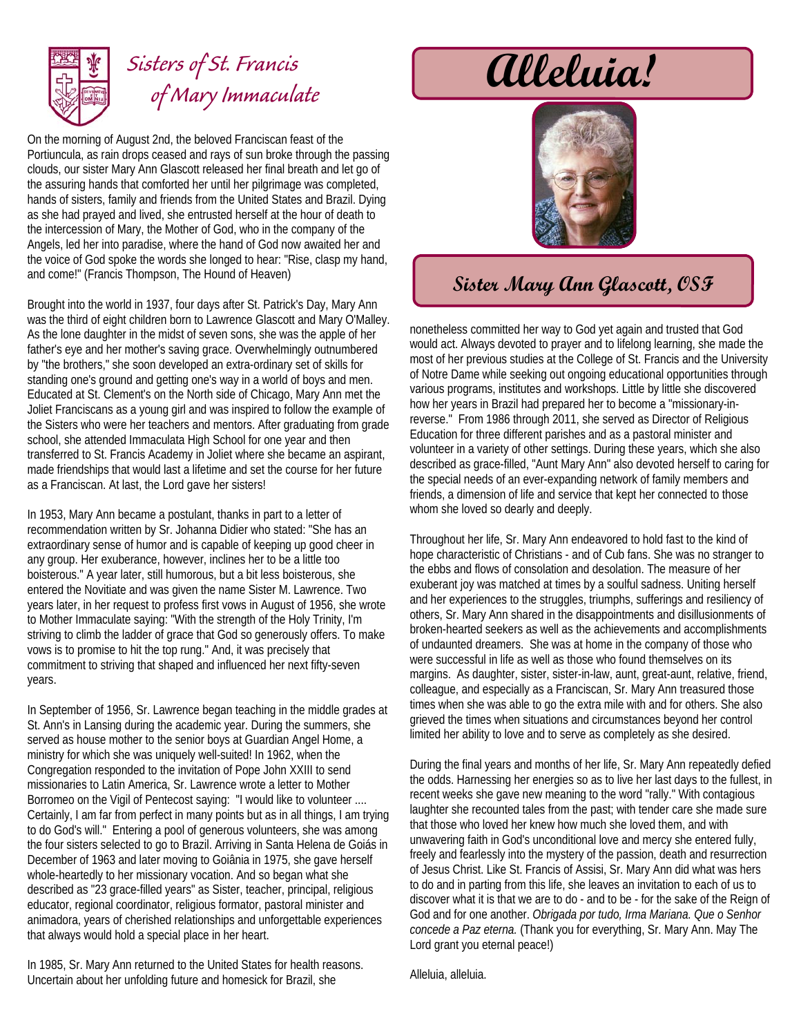

## Sisters of St. Francis **alleluia!**  *of Mary Immaculate*

On the morning of August 2nd, the beloved Franciscan feast of the Portiuncula, as rain drops ceased and rays of sun broke through the passing clouds, our sister Mary Ann Glascott released her final breath and let go of the assuring hands that comforted her until her pilgrimage was completed, hands of sisters, family and friends from the United States and Brazil. Dying as she had prayed and lived, she entrusted herself at the hour of death to the intercession of Mary, the Mother of God, who in the company of the Angels, led her into paradise, where the hand of God now awaited her and the voice of God spoke the words she longed to hear: "Rise, clasp my hand, and come!" (Francis Thompson, The Hound of Heaven)

Brought into the world in 1937, four days after St. Patrick's Day, Mary Ann was the third of eight children born to Lawrence Glascott and Mary O'Malley. As the lone daughter in the midst of seven sons, she was the apple of her father's eye and her mother's saving grace. Overwhelmingly outnumbered by "the brothers," she soon developed an extra-ordinary set of skills for standing one's ground and getting one's way in a world of boys and men. Educated at St. Clement's on the North side of Chicago, Mary Ann met the Joliet Franciscans as a young girl and was inspired to follow the example of the Sisters who were her teachers and mentors. After graduating from grade school, she attended Immaculata High School for one year and then transferred to St. Francis Academy in Joliet where she became an aspirant, made friendships that would last a lifetime and set the course for her future as a Franciscan. At last, the Lord gave her sisters!

In 1953, Mary Ann became a postulant, thanks in part to a letter of recommendation written by Sr. Johanna Didier who stated: "She has an extraordinary sense of humor and is capable of keeping up good cheer in any group. Her exuberance, however, inclines her to be a little too boisterous." A year later, still humorous, but a bit less boisterous, she entered the Novitiate and was given the name Sister M. Lawrence. Two years later, in her request to profess first vows in August of 1956, she wrote to Mother Immaculate saying: "With the strength of the Holy Trinity, I'm striving to climb the ladder of grace that God so generously offers. To make vows is to promise to hit the top rung." And, it was precisely that commitment to striving that shaped and influenced her next fifty-seven years.

In September of 1956, Sr. Lawrence began teaching in the middle grades at St. Ann's in Lansing during the academic year. During the summers, she served as house mother to the senior boys at Guardian Angel Home, a ministry for which she was uniquely well-suited! In 1962, when the Congregation responded to the invitation of Pope John XXIII to send missionaries to Latin America, Sr. Lawrence wrote a letter to Mother Borromeo on the Vigil of Pentecost saying: "I would like to volunteer .... Certainly, I am far from perfect in many points but as in all things, I am trying to do God's will." Entering a pool of generous volunteers, she was among the four sisters selected to go to Brazil. Arriving in Santa Helena de Goiás in December of 1963 and later moving to Goiânia in 1975, she gave herself whole-heartedly to her missionary vocation. And so began what she described as "23 grace-filled years" as Sister, teacher, principal, religious educator, regional coordinator, religious formator, pastoral minister and animadora, years of cherished relationships and unforgettable experiences that always would hold a special place in her heart.

In 1985, Sr. Mary Ann returned to the United States for health reasons. Uncertain about her unfolding future and homesick for Brazil, she



## **Sister Mary Ann Glascott, OSF**

nonetheless committed her way to God yet again and trusted that God would act. Always devoted to prayer and to lifelong learning, she made the most of her previous studies at the College of St. Francis and the University of Notre Dame while seeking out ongoing educational opportunities through various programs, institutes and workshops. Little by little she discovered how her years in Brazil had prepared her to become a "missionary-inreverse." From 1986 through 2011, she served as Director of Religious Education for three different parishes and as a pastoral minister and volunteer in a variety of other settings. During these years, which she also described as grace-filled, "Aunt Mary Ann" also devoted herself to caring for the special needs of an ever-expanding network of family members and friends, a dimension of life and service that kept her connected to those whom she loved so dearly and deeply.

Throughout her life, Sr. Mary Ann endeavored to hold fast to the kind of hope characteristic of Christians - and of Cub fans. She was no stranger to the ebbs and flows of consolation and desolation. The measure of her exuberant joy was matched at times by a soulful sadness. Uniting herself and her experiences to the struggles, triumphs, sufferings and resiliency of others, Sr. Mary Ann shared in the disappointments and disillusionments of broken-hearted seekers as well as the achievements and accomplishments of undaunted dreamers. She was at home in the company of those who were successful in life as well as those who found themselves on its margins. As daughter, sister, sister-in-law, aunt, great-aunt, relative, friend, colleague, and especially as a Franciscan, Sr. Mary Ann treasured those times when she was able to go the extra mile with and for others. She also grieved the times when situations and circumstances beyond her control limited her ability to love and to serve as completely as she desired.

During the final years and months of her life, Sr. Mary Ann repeatedly defied the odds. Harnessing her energies so as to live her last days to the fullest, in recent weeks she gave new meaning to the word "rally." With contagious laughter she recounted tales from the past; with tender care she made sure that those who loved her knew how much she loved them, and with unwavering faith in God's unconditional love and mercy she entered fully, freely and fearlessly into the mystery of the passion, death and resurrection of Jesus Christ. Like St. Francis of Assisi, Sr. Mary Ann did what was hers to do and in parting from this life, she leaves an invitation to each of us to discover what it is that we are to do - and to be - for the sake of the Reign of God and for one another. *Obrigada por tudo, Irma Mariana. Que o Senhor concede a Paz eterna.* (Thank you for everything, Sr. Mary Ann. May The Lord grant you eternal peace!)

Alleluia, alleluia.